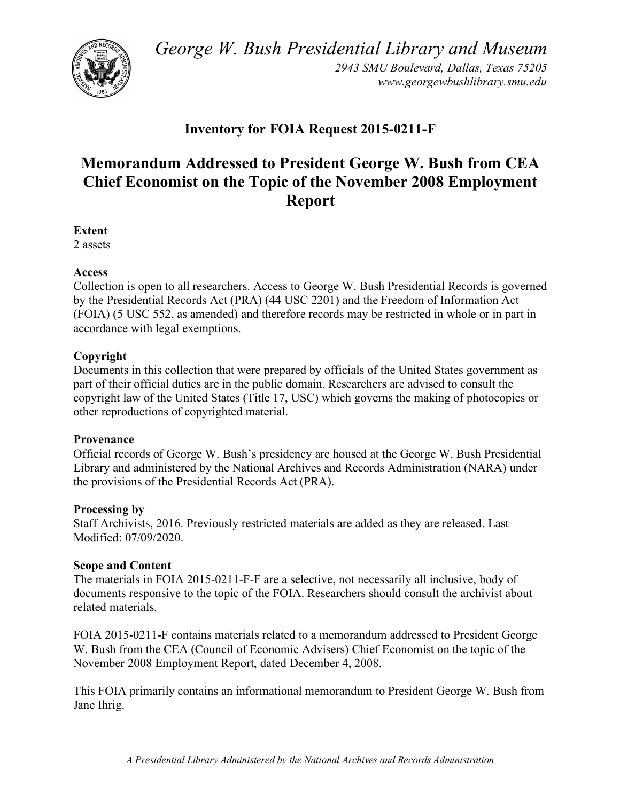*George W. Bush Presidential Library and Museum* 



*2943 SMU Boulevard, Dallas, Texas 75205 <www.georgewbushlibrary.smu.edu>* 

## **Inventory for FOIA Request 2015-0211-F**

# **Memorandum Addressed to President George W. Bush from CEA Chief Economist on the Topic of the November 2008 Employment Report**

**Extent** 

2 assets

#### **Access**

 Collection is open to all researchers. Access to George W. Bush Presidential Records is governed by the Presidential Records Act (PRA) (44 USC 2201) and the Freedom of Information Act (FOIA) (5 USC 552, as amended) and therefore records may be restricted in whole or in part in accordance with legal exemptions.

#### **Copyright**

 Documents in this collection that were prepared by officials of the United States government as part of their official duties are in the public domain. Researchers are advised to consult the copyright law of the United States (Title 17, USC) which governs the making of photocopies or other reproductions of copyrighted material.

#### **Provenance**

 Official records of George W. Bush's presidency are housed at the George W. Bush Presidential Library and administered by the National Archives and Records Administration (NARA) under the provisions of the Presidential Records Act (PRA).

#### **Processing by**

 Staff Archivists, 2016. Previously restricted materials are added as they are released. Last Modified: 07/09/2020.

### **Scope and Content**

 The materials in FOIA 2015-0211-F-F are a selective, not necessarily all inclusive, body of documents responsive to the topic of the FOIA. Researchers should consult the archivist about related materials.

 FOIA 2015-0211-F contains materials related to a memorandum addressed to President George W. Bush from the CEA (Council of Economic Advisers) Chief Economist on the topic of the November 2008 Employment Report, dated December 4, 2008.

 This FOIA primarily contains an informational memorandum to President George W. Bush from Jane Ihrig.